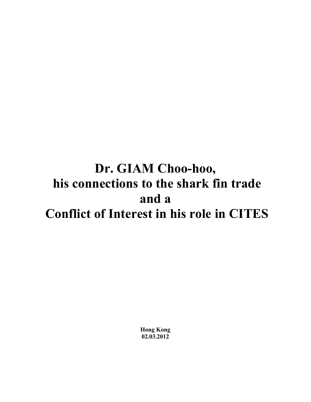# **Dr. GIAM Choo-hoo, his connections to the shark fin trade and a Conflict of Interest in his role in CITES**

**Hong Kong 02.03.2012**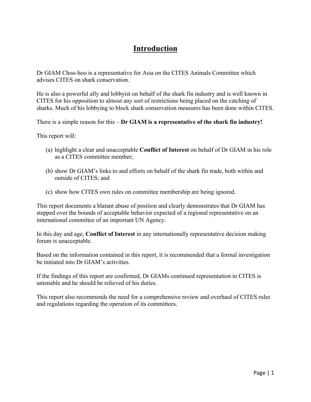# **Introduction**

Dr GIAM Choo-hoo is a representative for Asia on the CITES Animals Committee which advises CITES on shark conservation.

He is also a powerful ally and lobbyist on behalf of the shark fin industry and is well known in CITES for his opposition to almost any sort of restrictions being placed on the catching of sharks. Much of his lobbying to block shark conservation measures has been done within CITES.

There is a simple reason for this – **Dr GIAM is a representative of the shark fin industry!**

This report will:

- (a) highlight a clear and unacceptable **Conflict of Interest** on behalf of Dr GIAM in his role as a CITES committee member;
- (b) show Dr GIAM's links to and efforts on behalf of the shark fin trade, both within and outside of CITES; and
- (c) show how CITES own rules on committee membership are being ignored.

This report documents a blatant abuse of position and clearly demonstrates that Dr GIAM has stepped over the bounds of acceptable behavior expected of a regional representative on an international committee of an important UN Agency.

In this day and age, **Conflict of Interest** in any internationally representative decision making forum is unacceptable.

Based on the information contained in this report, it is recommended that a formal investigation be initiated into Dr GIAM's activities.

If the findings of this report are confirmed, Dr GIAMs continued representation in CITES is untenable and he should be relieved of his duties.

This report also recommends the need for a comprehensive review and overhaul of CITES rules and regulations regarding the operation of its committees.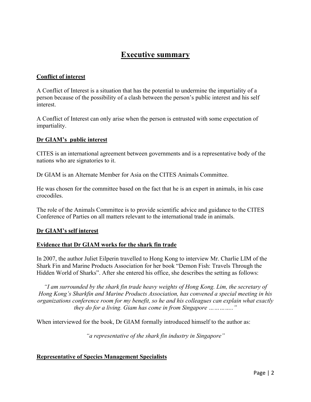# **Executive summary**

### **Conflict of interest**

A Conflict of Interest is a situation that has the potential to undermine the impartiality of a person because of the possibility of a clash between the person's public interest and his self interest.

A Conflict of Interest can only arise when the person is entrusted with some expectation of impartiality.

### **Dr GIAM's public interest**

CITES is an international agreement between governments and is a representative body of the nations who are signatories to it.

Dr GIAM is an Alternate Member for Asia on the CITES Animals Committee.

He was chosen for the committee based on the fact that he is an expert in animals, in his case crocodiles.

The role of the Animals Committee is to provide scientific advice and guidance to the CITES Conference of Parties on all matters relevant to the international trade in animals.

### **Dr GIAM's self interest**

#### **Evidence that Dr GIAM works for the shark fin trade**

In 2007, the author Juliet Eilperin travelled to Hong Kong to interview Mr. Charlie LIM of the Shark Fin and Marine Products Association for her book "Demon Fish: Travels Through the Hidden World of Sharks". After she entered his office, she describes the setting as follows:

*"I am surrounded by the shark fin trade heavy weights of Hong Kong. Lim, the secretary of Hong Kong's Sharkfin and Marine Products Association, has convened a special meeting in his organizations conference room for my benefit, so he and his colleagues can explain what exactly they do for a living. Giam has come in from Singapore ………….."*

When interviewed for the book, Dr GIAM formally introduced himself to the author as:

*"a representative of the shark fin industry in Singapore"*

#### **Representative of Species Management Specialists**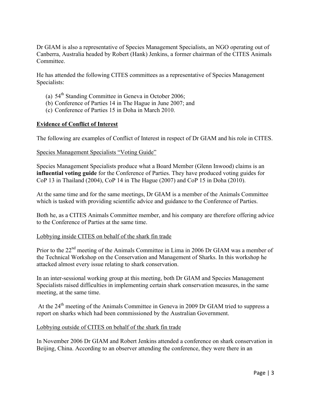Dr GIAM is also a representative of Species Management Specialists, an NGO operating out of Canberra, Australia headed by Robert (Hank) Jenkins, a former chairman of the CITES Animals Committee.

He has attended the following CITES committees as a representative of Species Management Specialists:

- (a)  $54<sup>th</sup>$  Standing Committee in Geneva in October 2006;
- (b) Conference of Parties 14 in The Hague in June 2007; and
- (c) Conference of Parties 15 in Doha in March 2010.

#### **Evidence of Conflict of Interest**

The following are examples of Conflict of Interest in respect of Dr GIAM and his role in CITES.

#### Species Management Specialists "Voting Guide"

Species Management Specialists produce what a Board Member (Glenn Inwood) claims is an **influential voting guide** for the Conference of Parties. They have produced voting guides for CoP 13 in Thailand (2004), CoP 14 in The Hague (2007) and CoP 15 in Doha (2010).

At the same time and for the same meetings, Dr GIAM is a member of the Animals Committee which is tasked with providing scientific advice and guidance to the Conference of Parties.

Both he, as a CITES Animals Committee member, and his company are therefore offering advice to the Conference of Parties at the same time.

#### Lobbying inside CITES on behalf of the shark fin trade

Prior to the 22<sup>nd</sup> meeting of the Animals Committee in Lima in 2006 Dr GIAM was a member of the Technical Workshop on the Conservation and Management of Sharks. In this workshop he attacked almost every issue relating to shark conservation.

In an inter-sessional working group at this meeting, both Dr GIAM and Species Management Specialists raised difficulties in implementing certain shark conservation measures, in the same meeting, at the same time.

At the  $24<sup>th</sup>$  meeting of the Animals Committee in Geneva in 2009 Dr GIAM tried to suppress a report on sharks which had been commissioned by the Australian Government.

#### Lobbying outside of CITES on behalf of the shark fin trade

In November 2006 Dr GIAM and Robert Jenkins attended a conference on shark conservation in Beijing, China. According to an observer attending the conference, they were there in an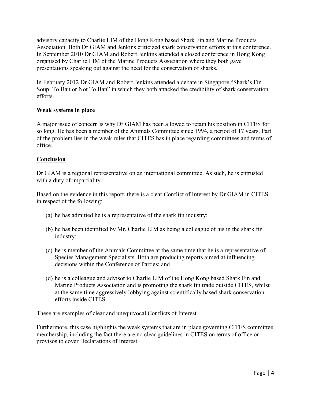advisory capacity to Charlie LIM of the Hong Kong based Shark Fin and Marine Products Association. Both Dr GIAM and Jenkins criticized shark conservation efforts at this conference. In September 2010 Dr GIAM and Robert Jenkins attended a closed conference in Hong Kong organised by Charlie LIM of the Marine Products Association where they both gave presentations speaking out against the need for the conservation of sharks.

In February 2012 Dr GIAM and Robert Jenkins attended a debate in Singapore "Shark's Fin Soup: To Ban or Not To Ban" in which they both attacked the credibility of shark conservation efforts.

# **Weak systems in place**

A major issue of concern is why Dr GIAM has been allowed to retain his position in CITES for so long. He has been a member of the Animals Committee since 1994, a period of 17 years. Part of the problem lies in the weak rules that CITES has in place regarding committees and terms of office.

# **Conclusion**

Dr GIAM is a regional representative on an international committee. As such, he is entrusted with a duty of impartiality.

Based on the evidence in this report, there is a clear Conflict of Interest by Dr GIAM in CITES in respect of the following:

- (a) he has admitted he is a representative of the shark fin industry;
- (b) he has been identified by Mr. Charlie LIM as being a colleague of his in the shark fin industry;
- (c) he is member of the Animals Committee at the same time that he is a representative of Species Management Specialists. Both are producing reports aimed at influencing decisions within the Conference of Parties; and
- (d) he is a colleague and advisor to Charlie LIM of the Hong Kong based Shark Fin and Marine Products Association and is promoting the shark fin trade outside CITES, whilst at the same time aggressively lobbying against scientifically based shark conservation efforts inside CITES.

These are examples of clear and unequivocal Conflicts of Interest.

Furthermore, this case highlights the weak systems that are in place governing CITES committee membership, including the fact there are no clear guidelines in CITES on terms of office or provisos to cover Declarations of Interest.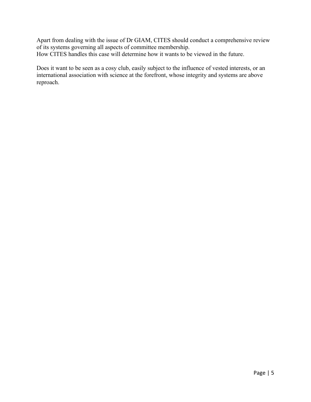Apart from dealing with the issue of Dr GIAM, CITES should conduct a comprehensive review of its systems governing all aspects of committee membership. How CITES handles this case will determine how it wants to be viewed in the future.

Does it want to be seen as a cosy club, easily subject to the influence of vested interests, or an international association with science at the forefront, whose integrity and systems are above reproach.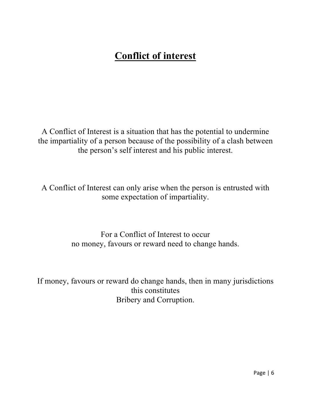# **Conflict of interest**

A Conflict of Interest is a situation that has the potential to undermine the impartiality of a person because of the possibility of a clash between the person's self interest and his public interest.

A Conflict of Interest can only arise when the person is entrusted with some expectation of impartiality.

> For a Conflict of Interest to occur no money, favours or reward need to change hands.

If money, favours or reward do change hands, then in many jurisdictions this constitutes Bribery and Corruption.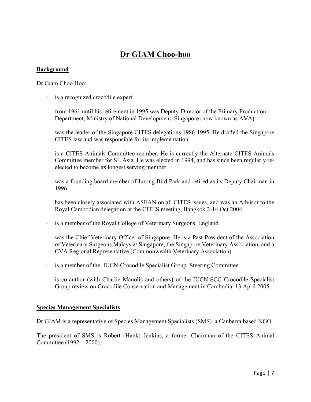# **Dr GIAM Choo-hoo**

#### **Background**

Dr Giam Choo Hoo:

- is a recognized crocodile expert
- from 1961 until his retirement in 1995 was Deputy-Director of the Primary Production Department, Ministry of National Development, Singapore (now known as AVA).
- was the leader of the Singapore CITES delegations 1986-1995. He drafted the Singapore CITES law and was responsible for its implementation.
- is a CITES Animals Committee member. He is currently the Alternate CITES Animals Committee member for SE Asia. He was elected in 1994, and has since been regularly reelected to become its longest serving member.
- was a founding board member of Jurong Bird Park and retired as its Deputy Chairman in 1996.
- has been closely associated with ASEAN on all CITES issues, and was an Advisor to the Royal Cambodian delegation at the CITES meeting, Bangkok 2-14 Oct 2004.
- is a member of the Royal College of Veterinary Surgeons, England.
- was the Chief Veterinary Officer of Singapore. He is a Past-President of the Association of Veterinary Surgeons Malaysia/ Singapore, the Singapore Veterinary Association, and a CVA Regional Representative (Commonwealth Veterinary Association).
- is a member of the IUCN-Crocodile Specialist Group Steering Committee
- is co-author (with Charlie Manolis and others) of the IUCN-SCC Crocodile Specialist Group review on Crocodile Conservation and Management in Cambodia. 13 April 2005.

#### **Species Management Specialists**

Dr GIAM is a representative of Species Management Specialists (SMS), a Canberra based NGO.

The president of SMS is Robert (Hank) Jenkins, a former Chairman of the CITES Animal Committee (1992 – 2000).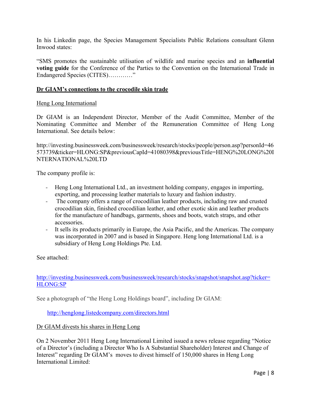In his Linkedin page, the Species Management Specialists Public Relations consultant Glenn Inwood states:

"SMS promotes the sustainable utilisation of wildlife and marine species and an **influential voting guide** for the Conference of the Parties to the Convention on the International Trade in Endangered Species (CITES)…………"

#### **Dr GIAM's connections to the crocodile skin trade**

#### Heng Long International

Dr GIAM is an Independent Director, Member of the Audit Committee, Member of the Nominating Committee and Member of the Remuneration Committee of Heng Long International. See details below:

http://investing.businessweek.com/businessweek/research/stocks/people/person.asp?personId=46 573739&ticker=HLONG:SP&previousCapId=41080398&previousTitle=HENG%20LONG%20I NTERNATIONAL%20LTD

The company profile is:

- Heng Long International Ltd., an investment holding company, engages in importing, exporting, and processing leather materials to luxury and fashion industry.
- The company offers a range of crocodilian leather products, including raw and crusted crocodilian skin, finished crocodilian leather, and other exotic skin and leather products for the manufacture of handbags, garments, shoes and boots, watch straps, and other accessories.
- It sells its products primarily in Europe, the Asia Pacific, and the Americas. The company was incorporated in 2007 and is based in Singapore. Heng long International Ltd. is a subsidiary of Heng Long Holdings Pte. Ltd.

See attached:

http://investing.businessweek.com/businessweek/research/stocks/snapshot/snapshot.asp?ticker= HLONG:SP

See a photograph of "the Heng Long Holdings board", including Dr GIAM:

http://henglong.listedcompany.com/directors.html

#### Dr GIAM divests his shares in Heng Long

On 2 November 2011 Heng Long International Limited issued a news release regarding "Notice of a Director's (including a Director Who Is A Substantial Shareholder) Interest and Change of Interest" regarding Dr GIAM's moves to divest himself of 150,000 shares in Heng Long International Limited: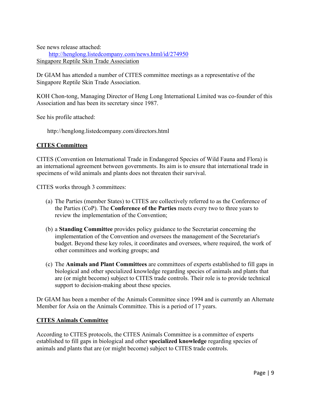See news release attached:

 http://henglong.listedcompany.com/news.html/id/274950 Singapore Reptile Skin Trade Association

Dr GIAM has attended a number of CITES committee meetings as a representative of the Singapore Reptile Skin Trade Association.

KOH Chon-tong, Managing Director of Heng Long International Limited was co-founder of this Association and has been its secretary since 1987.

See his profile attached:

http://henglong.listedcompany.com/directors.html

#### **CITES Committees**

CITES (Convention on International Trade in Endangered Species of Wild Fauna and Flora) is an international agreement between governments. Its aim is to ensure that international trade in specimens of wild animals and plants does not threaten their survival.

CITES works through 3 committees:

- (a) The Parties (member States) to CITES are collectively referred to as the Conference of the Parties (CoP). The **Conference of the Parties** meets every two to three years to review the implementation of the Convention;
- (b) a **Standing Committee** provides policy guidance to the Secretariat concerning the implementation of the Convention and oversees the management of the Secretariat's budget. Beyond these key roles, it coordinates and oversees, where required, the work of other committees and working groups; and
- (c) The **Animals and Plant Committees** are committees of experts established to fill gaps in biological and other specialized knowledge regarding species of animals and plants that are (or might become) subject to CITES trade controls. Their role is to provide technical support to decision-making about these species.

Dr GIAM has been a member of the Animals Committee since 1994 and is currently an Alternate Member for Asia on the Animals Committee. This is a period of 17 years.

#### **CITES Animals Committee**

According to CITES protocols, the CITES Animals Committee is a committee of experts established to fill gaps in biological and other **specialized knowledge** regarding species of animals and plants that are (or might become) subject to CITES trade controls.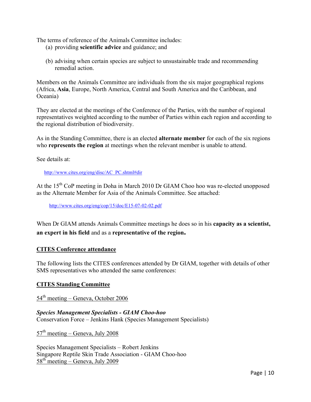The terms of reference of the Animals Committee includes:

- (a) providing **scientific advice** and guidance; and
- (b) advising when certain species are subject to unsustainable trade and recommending remedial action.

Members on the Animals Committee are individuals from the six major geographical regions (Africa, **Asia**, Europe, North America, Central and South America and the Caribbean, and Oceania)

They are elected at the meetings of the Conference of the Parties, with the number of regional representatives weighted according to the number of Parties within each region and according to the regional distribution of biodiversity.

As in the Standing Committee, there is an elected **alternate member** for each of the six regions who **represents the region** at meetings when the relevant member is unable to attend.

See details at:

http://www.cites.org/eng/disc/AC\_PC.shtml#dir

At the 15<sup>th</sup> CoP meeting in Doha in March 2010 Dr GIAM Choo hoo was re-elected unopposed as the Alternate Member for Asia of the Animals Committee. See attached:

http://www.cites.org/eng/cop/15/doc/E15-07-02-02.pdf

When Dr GIAM attends Animals Committee meetings he does so in his **capacity as a scientist, an expert in his field** and as a **representative of the region.**

#### **CITES Conference attendance**

The following lists the CITES conferences attended by Dr GIAM, together with details of other SMS representatives who attended the same conferences:

#### **CITES Standing Committee**

54<sup>th</sup> meeting – Geneva, October 2006

*Species Management Specialists - GIAM Choo-hoo* Conservation Force – Jenkins Hank (Species Management Specialists)

 $57<sup>th</sup> meeting - Geneva, July 2008$ 

Species Management Specialists – Robert Jenkins Singapore Reptile Skin Trade Association - GIAM Choo-hoo  $58<sup>th</sup> meeting - Geneva, July 2009$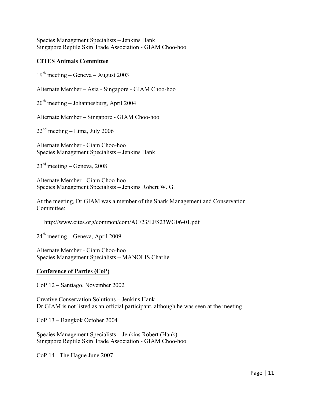Species Management Specialists – Jenkins Hank Singapore Reptile Skin Trade Association - GIAM Choo-hoo

#### **CITES Animals Committee**

 $19<sup>th</sup> meeting - Geneva - August 2003$ 

Alternate Member – Asia - Singapore - GIAM Choo-hoo

 $20<sup>th</sup> meeting – Johannesburg, April 2004$ 

Alternate Member – Singapore - GIAM Choo-hoo

 $22<sup>nd</sup> meeting – Lima, July 2006$ 

Alternate Member - Giam Choo-hoo Species Management Specialists – Jenkins Hank

 $23<sup>rd</sup> meeting – Geneva, 2008$ 

Alternate Member - Giam Choo-hoo Species Management Specialists – Jenkins Robert W. G.

At the meeting, Dr GIAM was a member of the Shark Management and Conservation Committee:

http://www.cites.org/common/com/AC/23/EFS23WG06-01.pdf

 $24<sup>th</sup> meeting – Geneva, April 2009$ 

Alternate Member - Giam Choo-hoo Species Management Specialists – MANOLIS Charlie

#### **Conference of Parties (CoP)**

CoP 12 – Santiago. November 2002

Creative Conservation Solutions – Jenkins Hank Dr GIAM is not listed as an official participant, although he was seen at the meeting.

CoP 13 – Bangkok October 2004

Species Management Specialists – Jenkins Robert (Hank) Singapore Reptile Skin Trade Association - GIAM Choo-hoo

CoP 14 - The Hague June 2007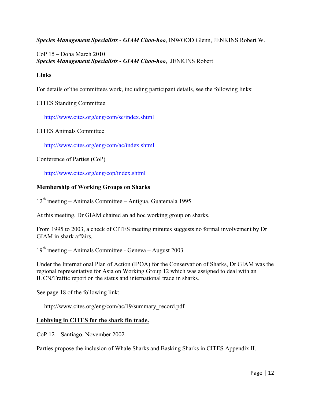*Species Management Specialists - GIAM Choo-hoo*, INWOOD Glenn, JENKINS Robert W.

# CoP 15 – Doha March 2010 *Species Management Specialists - GIAM Choo-hoo*, JENKINS Robert

# **Links**

For details of the committees work, including participant details, see the following links:

### CITES Standing Committee

http://www.cites.org/eng/com/sc/index.shtml

#### CITES Animals Committee

http://www.cites.org/eng/com/ac/index.shtml

### Conference of Parties (CoP)

http://www.cites.org/eng/cop/index.shtml

#### **Membership of Working Groups on Sharks**

## $12<sup>th</sup>$  meeting – Animals Committee – Antigua, Guatemala 1995

At this meeting, Dr GIAM chaired an ad hoc working group on sharks.

From 1995 to 2003, a check of CITES meeting minutes suggests no formal involvement by Dr GIAM in shark affairs.

# $19<sup>th</sup> meeting – Animals Committee – Geneva – August 2003$

Under the International Plan of Action (IPOA) for the Conservation of Sharks, Dr GIAM was the regional representative for Asia on Working Group 12 which was assigned to deal with an IUCN/Traffic report on the status and international trade in sharks.

See page 18 of the following link:

http://www.cites.org/eng/com/ac/19/summary\_record.pdf

#### **Lobbying in CITES for the shark fin trade.**

#### CoP 12 – Santiago. November 2002

Parties propose the inclusion of Whale Sharks and Basking Sharks in CITES Appendix II.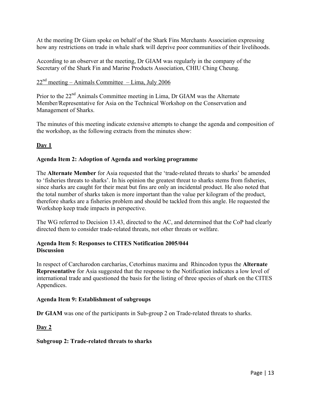At the meeting Dr Giam spoke on behalf of the Shark Fins Merchants Association expressing how any restrictions on trade in whale shark will deprive poor communities of their livelihoods.

According to an observer at the meeting, Dr GIAM was regularly in the company of the Secretary of the Shark Fin and Marine Products Association, CHIU Ching Cheung.

# $22<sup>nd</sup>$  meeting – Animals Committee – Lima, July 2006

Prior to the 22<sup>nd</sup> Animals Committee meeting in Lima, Dr GIAM was the Alternate Member/Representative for Asia on the Technical Workshop on the Conservation and Management of Sharks.

The minutes of this meeting indicate extensive attempts to change the agenda and composition of the workshop, as the following extracts from the minutes show:

# **Day 1**

### **Agenda Item 2: Adoption of Agenda and working programme**

The **Alternate Member** for Asia requested that the 'trade-related threats to sharks' be amended to 'fisheries threats to sharks'. In his opinion the greatest threat to sharks stems from fisheries, since sharks are caught for their meat but fins are only an incidental product. He also noted that the total number of sharks taken is more important than the value per kilogram of the product, therefore sharks are a fisheries problem and should be tackled from this angle. He requested the Workshop keep trade impacts in perspective.

The WG referred to Decision 13.43, directed to the AC, and determined that the CoP had clearly directed them to consider trade-related threats, not other threats or welfare.

#### **Agenda Item 5: Responses to CITES Notification 2005/044 Discussion**

In respect of Carcharodon carcharias, Cetorhinus maximu and Rhincodon typus the **Alternate Representative** for Asia suggested that the response to the Notification indicates a low level of international trade and questioned the basis for the listing of three species of shark on the CITES Appendices.

#### **Agenda Item 9: Establishment of subgroups**

**Dr GIAM** was one of the participants in Sub-group 2 on Trade-related threats to sharks.

### **Day 2**

#### **Subgroup 2: Trade-related threats to sharks**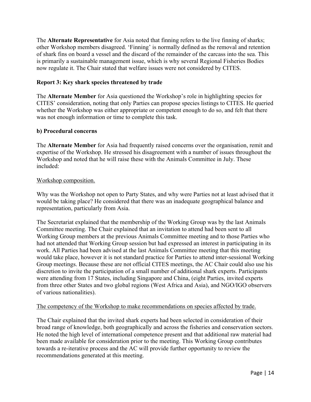The **Alternate Representative** for Asia noted that finning refers to the live finning of sharks; other Workshop members disagreed. 'Finning' is normally defined as the removal and retention of shark fins on board a vessel and the discard of the remainder of the carcass into the sea. This is primarily a sustainable management issue, which is why several Regional Fisheries Bodies now regulate it. The Chair stated that welfare issues were not considered by CITES.

#### **Report 3: Key shark species threatened by trade**

The **Alternate Member** for Asia questioned the Workshop's role in highlighting species for CITES' consideration, noting that only Parties can propose species listings to CITES. He queried whether the Workshop was either appropriate or competent enough to do so, and felt that there was not enough information or time to complete this task.

#### **b) Procedural concerns**

The **Alternate Member** for Asia had frequently raised concerns over the organisation, remit and expertise of the Workshop. He stressed his disagreement with a number of issues throughout the Workshop and noted that he will raise these with the Animals Committee in July. These included:

#### Workshop composition.

Why was the Workshop not open to Party States, and why were Parties not at least advised that it would be taking place? He considered that there was an inadequate geographical balance and representation, particularly from Asia.

The Secretariat explained that the membership of the Working Group was by the last Animals Committee meeting. The Chair explained that an invitation to attend had been sent to all Working Group members at the previous Animals Committee meeting and to those Parties who had not attended that Working Group session but had expressed an interest in participating in its work. All Parties had been advised at the last Animals Committee meeting that this meeting would take place, however it is not standard practice for Parties to attend inter-sessional Working Group meetings. Because these are not official CITES meetings, the AC Chair could also use his discretion to invite the participation of a small number of additional shark experts. Participants were attending from 17 States, including Singapore and China, (eight Parties, invited experts from three other States and two global regions (West Africa and Asia), and NGO/IGO observers of various nationalities).

#### The competency of the Workshop to make recommendations on species affected by trade.

The Chair explained that the invited shark experts had been selected in consideration of their broad range of knowledge, both geographically and across the fisheries and conservation sectors. He noted the high level of international competence present and that additional raw material had been made available for consideration prior to the meeting. This Working Group contributes towards a re-iterative process and the AC will provide further opportunity to review the recommendations generated at this meeting.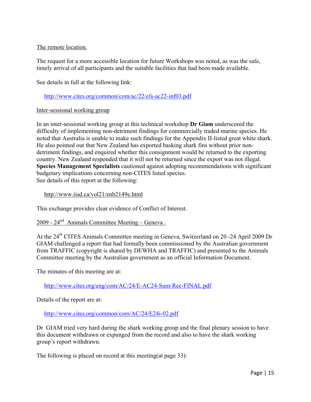### The remote location.

The request for a more accessible location for future Workshops was noted, as was the safe, timely arrival of all participants and the suitable facilities that had been made available.

See details in full at the following link:

http://www.cites.org/common/com/ac/22/efs-ac22-inf03.pdf

#### Inter-sessional working group

In an inter-sessional working group at this technical workshop **Dr Giam** underscored the difficulty of implementing non-detriment findings for commercially traded marine species. He noted that Australia is unable to make such findings for the Appendix II-listed great white shark. He also pointed out that New Zealand has exported basking shark fins without prior nondetriment findings, and enquired whether this consignment would be returned to the exporting country. New Zealand responded that it will not be returned since the export was not illegal. **Species Management Specialists** cautioned against adopting recommendations with significant budgetary implications concerning non-CITES listed species. See details of this report at the following:

http://www.iisd.ca/vol21/enb2149e.html

This exchange provides clear evidence of Conflict of Interest.

# 2009 - 24nd Animals Committee Meeting – Geneva .

At the 24<sup>th</sup> CITES Animals Committee meeting in Geneva, Switzerland on 20 -24 April 2009 Dr GIAM challenged a report that had formally been commissioned by the Australian government from TRAFFIC (copyright is shared by DEWHA and TRAFFIC) and presented to the Animals Committee meeting by the Australian government as an official Information Document.

The minutes of this meeting are at:

http://www.cites.org/eng/com/AC/24/E-AC24-Sum-Rec-FINAL.pdf

Details of the report are at:

http://www.cites.org/common/com/AC/24/E24i-02.pdf

Dr GIAM tried very hard during the shark working group and the final plenary session to have this document withdrawn or expunged from the record and also to have the shark working group's report withdrawn.

The following is placed on record at this meeting(at page 33):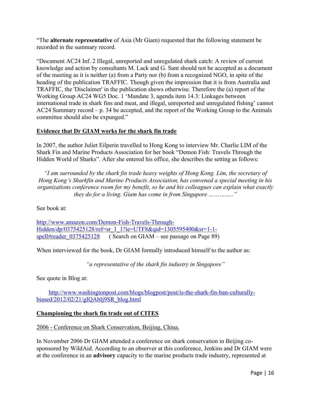"The **alternate representative** of Asia (Mr Giam) requested that the following statement be recorded in the summary record.

"Document AC24 Inf. 2 Illegal, unreported and unregulated shark catch: A review of current knowledge and action by consultants M. Lack and G. Sant should not be accepted as a document of the meeting as it is neither (a) from a Party nor (b) from a recognized NGO, in spite of the heading of the publication TRAFFIC. Though given the impression that it is from Australia and TRAFFIC, the 'Disclaimer' in the publication shows otherwise. Therefore the (a) report of the Working Group AC24 WG5 Doc. 1 'Mandate 3, agenda item 14.3: Linkages between international trade in shark fins and meat, and illegal, unreported and unregulated fishing' cannot AC24 Summary record – p. 34 be accepted, and the report of the Working Group to the Animals committee should also be expunged."

# **Evidence that Dr GIAM works for the shark fin trade**

In 2007, the author Juliet Eilperin travelled to Hong Kong to interview Mr. Charlie LIM of the Shark Fin and Marine Products Association for her book "Demon Fish: Travels Through the Hidden World of Sharks". After she entered his office, she describes the setting as follows:

*"I am surrounded by the shark fin trade heavy weights of Hong Kong. Lim, the secretary of Hong Kong's Sharkfin and Marine Products Association, has convened a special meeting in his organizations conference room for my benefit, so he and his colleagues can explain what exactly they do for a living. Giam has come in from Singapore ………….."*

See book at:

http://www.amazon.com/Demon-Fish-Travels-Through-Hidden/dp/0375425128/ref=sr\_1\_1?ie=UTF8&qid=1305595400&sr=1-1spell#reader 0375425128 ( Search on GIAM – see passage on Page 89)

When interviewed for the book, Dr GIAM formally introduced himself to the author as:

*"a representative of the shark fin industry in Singapore"*

See quote in Blog at:

 http://www.washingtonpost.com/blogs/blogpost/post/is-the-shark-fin-ban-culturallybiased/2012/02/21/gIQAbIj9SR\_blog.html

### **Championing the shark fin trade out of CITES**

2006 - Conference on Shark Conservation, Beijing, China.

In November 2006 Dr GIAM attended a conference on shark conservation in Beijing cosponsored by WildAid. According to an observer at this conference, Jenkins and Dr GIAM were at the conference in an **advisory** capacity to the marine products trade industry, represented at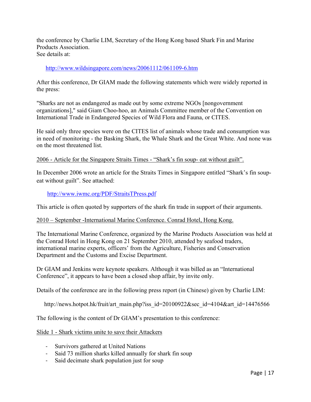the conference by Charlie LIM, Secretary of the Hong Kong based Shark Fin and Marine Products Association. See details at:

#### http://www.wildsingapore.com/news/20061112/061109-6.htm

After this conference, Dr GIAM made the following statements which were widely reported in the press:

"Sharks are not as endangered as made out by some extreme NGOs [nongovernment organizations]," said Giam Choo-hoo, an Animals Committee member of the Convention on International Trade in Endangered Species of Wild Flora and Fauna, or CITES.

He said only three species were on the CITES list of animals whose trade and consumption was in need of monitoring - the Basking Shark, the Whale Shark and the Great White. And none was on the most threatened list.

#### 2006 - Article for the Singapore Straits Times - "Shark's fin soup- eat without guilt".

In December 2006 wrote an article for the Straits Times in Singapore entitled "Shark's fin soupeat without guilt". See attached:

http://www.iwmc.org/PDF/StraitsTPress.pdf

This article is often quoted by supporters of the shark fin trade in support of their arguments.

#### 2010 – September -International Marine Conference. Conrad Hotel, Hong Kong.

The International Marine Conference, organized by the Marine Products Association was held at the Conrad Hotel in Hong Kong on 21 September 2010, attended by seafood traders, international marine experts, officers' from the Agriculture, Fisheries and Conservation Department and the Customs and Excise Department.

Dr GIAM and Jenkins were keynote speakers. Although it was billed as an "International Conference", it appears to have been a closed shop affair, by invite only.

Details of the conference are in the following press report (in Chinese) given by Charlie LIM:

http://news.hotpot.hk/fruit/art\_main.php?iss\_id=20100922&sec\_id=4104&art\_id=14476566

The following is the content of Dr GIAM's presentation to this conference:

Slide 1 - Shark victims unite to save their Attackers

- Survivors gathered at United Nations
- Said 73 million sharks killed annually for shark fin soup
- 1 Said decimate shark population just for soup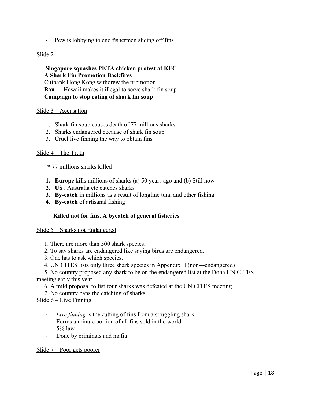- Pew is lobbying to end fishermen slicing off fins

#### Slide 2

 **Singapore squashes PETA chicken protest at KFC A Shark Fin Promotion Backfires** Citibank Hong Kong withdrew the promotion **Ban** --- Hawaii makes it illegal to serve shark fin soup  **Campaign to stop eating of shark fin soup**

#### Slide 3 – Accusation

- 1. Shark fin soup causes death of 77 millions sharks
- 2. Sharks endangered because of shark fin soup
- 3. Cruel live finning the way to obtain fins

#### Slide 4 – The Truth

- **\*** 77 millions sharks killed
- **1. Europe** kills millions of sharks (a) 50 years ago and (b) Still now
- **2. US** , Australia etc catches sharks
- **3. By-catch** in millions as a result of longline tuna and other fishing
- **4. By-catch** of artisanal fishing

#### **Killed not for fins. A bycatch of general fisheries**

#### Slide 5 – Sharks not Endangered

- 1. There are more than 500 shark species.
- 2. To say sharks are endangered like saying birds are endangered.
- 3. One has to ask which species.
- 4. UN CITES lists only three shark species in Appendix II (non---endangered)

 5. No country proposed any shark to be on the endangered list at the Doha UN CITES meeting early this year

6. A mild proposal to list four sharks was defeated at the UN CITES meeting

7. No country bans the catching of sharks

#### Slide 6 – Live Finning

- 1 *Live finning* is the cutting of fins from a struggling shark
- 1 Forms a minute portion of all fins sold in the world
- $5\%$  law
- Done by criminals and mafia

#### Slide 7 – Poor gets poorer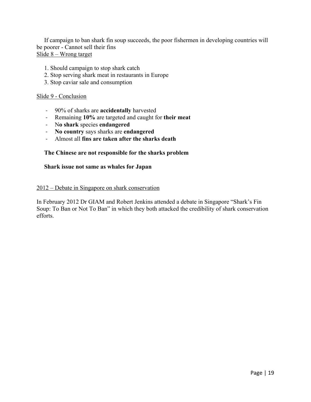If campaign to ban shark fin soup succeeds, the poor fishermen in developing countries will be poorer - Cannot sell their fins Slide 8 – Wrong target

- 1. Should campaign to stop shark catch
- 2. Stop serving shark meat in restaurants in Europe
- 3. Stop caviar sale and consumption

#### Slide 9 - Conclusion

- 1 90% of sharks are **accidentally** harvested
- 1 Remaining **10%** are targeted and caught for **their meat**
- 1 N**o shark** species **endangered**
- 1 **No country** says sharks are **endangered**
- 1 Almost all **fins are taken after the sharks death**

#### **The Chinese are not responsible for the sharks problem**

#### **Shark issue not same as whales for Japan**

#### 2012 – Debate in Singapore on shark conservation

In February 2012 Dr GIAM and Robert Jenkins attended a debate in Singapore "Shark's Fin Soup: To Ban or Not To Ban" in which they both attacked the credibility of shark conservation efforts.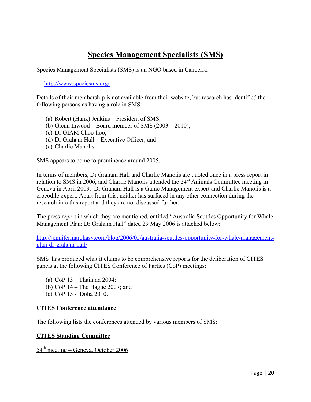# **Species Management Specialists (SMS)**

Species Management Specialists (SMS) is an NGO based in Canberra:

http://www.speciesms.org/

Details of their membership is not available from their website, but research has identified the following persons as having a role in SMS:

- (a) Robert (Hank) Jenkins President of SMS;
- (b) Glenn Inwood Board member of SMS  $(2003 2010)$ ;
- (c) Dr GIAM Choo-hoo;
- (d) Dr Graham Hall Executive Officer; and
- (e) Charlie Manolis.

SMS appears to come to prominence around 2005.

In terms of members, Dr Graham Hall and Charlie Manolis are quoted once in a press report in relation to SMS in 2006, and Charlie Manolis attended the 24<sup>th</sup> Animals Committee meeting in Geneva in April 2009. Dr Graham Hall is a Game Management expert and Charlie Manolis is a crocodile expert. Apart from this, neither has surfaced in any other connection during the research into this report and they are not discussed further.

The press report in which they are mentioned, entitled "Australia Scuttles Opportunity for Whale Management Plan: Dr Graham Hall" dated 29 May 2006 is attached below:

http://jennifermarohasy.com/blog/2006/05/australia-scuttles-opportunity-for-whale-managementplan-dr-graham-hall/

SMS has produced what it claims to be comprehensive reports for the deliberation of CITES panels at the following CITES Conference of Parties (CoP) meetings:

- (a) CoP 13 Thailand 2004;
- (b) CoP 14 The Hague 2007; and
- (c) CoP 15 Doha 2010.

#### **CITES Conference attendance**

The following lists the conferences attended by various members of SMS:

#### **CITES Standing Committee**

 $54<sup>th</sup>$  meeting – Geneva, October 2006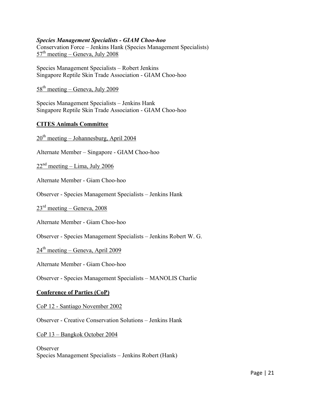#### *Species Management Specialists - GIAM Choo-hoo*

Conservation Force – Jenkins Hank (Species Management Specialists)  $57<sup>th</sup>$  meeting – Geneva, July 2008

Species Management Specialists – Robert Jenkins Singapore Reptile Skin Trade Association - GIAM Choo-hoo

# $58<sup>th</sup>$  meeting – Geneva, July 2009

Species Management Specialists – Jenkins Hank Singapore Reptile Skin Trade Association - GIAM Choo-hoo

#### **CITES Animals Committee**

 $20<sup>th</sup>$  meeting – Johannesburg, April 2004

Alternate Member – Singapore - GIAM Choo-hoo

 $22<sup>nd</sup>$  meeting – Lima, July 2006

Alternate Member - Giam Choo-hoo

Observer - Species Management Specialists – Jenkins Hank

 $23<sup>rd</sup> meeting - Geneva, 2008$ 

Alternate Member - Giam Choo-hoo

Observer - Species Management Specialists – Jenkins Robert W. G.

 $24<sup>th</sup> meeting - Geneva, April 2009$ 

Alternate Member - Giam Choo-hoo

Observer - Species Management Specialists – MANOLIS Charlie

#### **Conference of Parties (CoP)**

CoP 12 - Santiago November 2002

Observer - Creative Conservation Solutions – Jenkins Hank

CoP 13 – Bangkok October 2004

**Observer** Species Management Specialists – Jenkins Robert (Hank)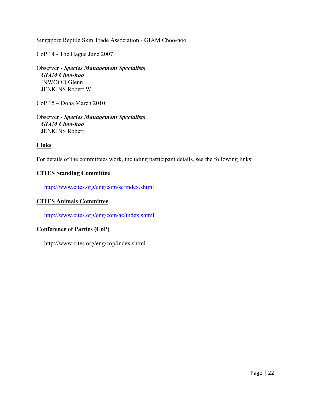Singapore Reptile Skin Trade Association - GIAM Choo-hoo

CoP 14 - The Hague June 2007

Observer - *Species Management Specialists GIAM Choo-hoo* INWOOD Glenn JENKINS Robert W.

CoP 15 – Doha March 2010

Observer - *Species Management Specialists GIAM Choo-hoo* JENKINS Robert

**Links**

For details of the committees work, including participant details, see the following links:

#### **CITES Standing Committee**

http://www.cites.org/eng/com/sc/index.shtml

#### **CITES Animals Committee**

http://www.cites.org/eng/com/ac/index.shtml

#### **Conference of Parties (CoP)**

http://www.cites.org/eng/cop/index.shtml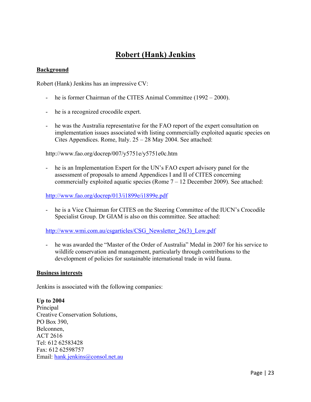# **Robert (Hank) Jenkins**

## **Background**

Robert (Hank) Jenkins has an impressive CV:

- he is former Chairman of the CITES Animal Committee (1992 2000).
- he is a recognized crocodile expert.
- he was the Australia representative for the FAO report of the expert consultation on implementation issues associated with listing commercially exploited aquatic species on Cites Appendices. Rome, Italy. 25 – 28 May 2004. See attached:

http://www.fao.org/docrep/007/y5751e/y5751e0c.htm

he is an Implementation Expert for the UN's FAO expert advisory panel for the assessment of proposals to amend Appendices I and II of CITES concerning commercially exploited aquatic species (Rome  $7 - 12$  December 2009). See attached:

http://www.fao.org/docrep/013/i1899e/i1899e.pdf

- he is a Vice Chairman for CITES on the Steering Committee of the IUCN's Crocodile Specialist Group. Dr GIAM is also on this committee. See attached:

http://www.wmi.com.au/csgarticles/CSG\_Newsletter\_26(3)\_Low.pdf

- he was awarded the "Master of the Order of Australia" Medal in 2007 for his service to wildlife conservation and management, particularly through contributions to the development of policies for sustainable international trade in wild fauna.

#### **Business interests**

Jenkins is associated with the following companies:

**Up to 2004**  Principal Creative Conservation Solutions, PO Box 390, Belconnen, ACT 2616 Tel: 612 62583428 Fax: 612 62598757 Email: hank.jenkins@consol.net.au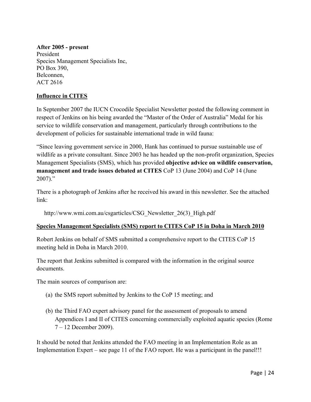### **After 2005 - present**

President Species Management Specialists Inc, PO Box 390, Belconnen, ACT 2616

## **Influence in CITES**

In September 2007 the IUCN Crocodile Specialist Newsletter posted the following comment in respect of Jenkins on his being awarded the "Master of the Order of Australia" Medal for his service to wildlife conservation and management, particularly through contributions to the development of policies for sustainable international trade in wild fauna:

"Since leaving government service in 2000, Hank has continued to pursue sustainable use of wildlife as a private consultant. Since 2003 he has headed up the non-profit organization, Species Management Specialists (SMS), which has provided **objective advice on wildlife conservation, management and trade issues debated at CITES** CoP 13 (June 2004) and CoP 14 (June 2007)."

There is a photograph of Jenkins after he received his award in this newsletter. See the attached link:

http://www.wmi.com.au/csgarticles/CSG\_Newsletter\_26(3)\_High.pdf

### **Species Management Specialists (SMS) report to CITES CoP 15 in Doha in March 2010**

Robert Jenkins on behalf of SMS submitted a comprehensive report to the CITES CoP 15 meeting held in Doha in March 2010.

The report that Jenkins submitted is compared with the information in the original source documents.

The main sources of comparison are:

- (a) the SMS report submitted by Jenkins to the CoP 15 meeting; and
- (b) the Third FAO expert advisory panel for the assessment of proposals to amend Appendices I and II of CITES concerning commercially exploited aquatic species (Rome 7 – 12 December 2009).

It should be noted that Jenkins attended the FAO meeting in an Implementation Role as an Implementation Expert – see page 11 of the FAO report. He was a participant in the panel!!!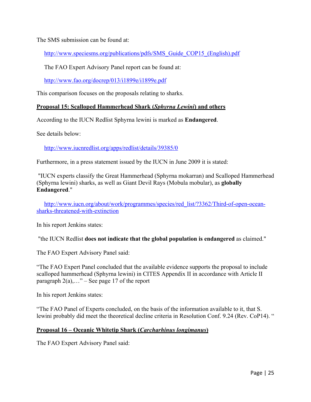The SMS submission can be found at:

http://www.speciesms.org/publications/pdfs/SMS Guide COP15 (English).pdf

The FAO Expert Advisory Panel report can be found at:

http://www.fao.org/docrep/013/i1899e/i1899e.pdf

This comparison focuses on the proposals relating to sharks.

#### **Proposal 15: Scalloped Hammerhead Shark (***Sphyrna Lewini***) and others**

According to the IUCN Redlist Sphyrna lewini is marked as **Endangered**.

See details below:

http://www.iucnredlist.org/apps/redlist/details/39385/0

Furthermore, in a press statement issued by the IUCN in June 2009 it is stated:

"IUCN experts classify the Great Hammerhead (Sphyrna mokarran) and Scalloped Hammerhead (Sphyrna lewini) sharks, as well as Giant Devil Rays (Mobula mobular), as **globally Endangered**."

http://www.iucn.org/about/work/programmes/species/red\_list/?3362/Third-of-open-oceansharks-threatened-with-extinction

In his report Jenkins states:

"the IUCN Redlist **does not indicate that the global population is endangered** as claimed."

The FAO Expert Advisory Panel said:

"The FAO Expert Panel concluded that the available evidence supports the proposal to include scalloped hammerhead (Sphyrna lewini) in CITES Appendix II in accordance with Article II paragraph  $2(a)$ ,..." – See page 17 of the report

In his report Jenkins states:

"The FAO Panel of Experts concluded, on the basis of the information available to it, that S. lewini probably did meet the theoretical decline criteria in Resolution Conf. 9.24 (Rev. CoP14). "

#### **Proposal 16 – Oceanic Whitetip Shark (***Carcharhinus longimanus***)**

The FAO Expert Advisory Panel said: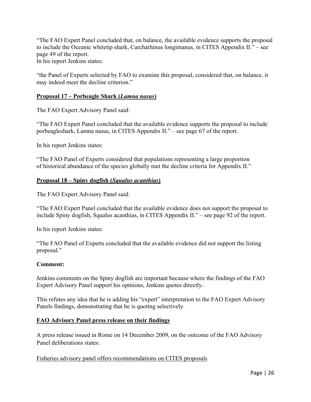"The FAO Expert Panel concluded that, on balance, the available evidence supports the proposal to include the Oceanic whitetip shark, Carcharhinus longimanus, in CITES Appendix II." – see page 49 of the report.

In his report Jenkins states:

"the Panel of Experts selected by FAO to examine this proposal, considered that, on balance, it may indeed meet the decline criterion."

### **Proposal 17 – Porbeagle Shark (***Lamna nasus***)**

The FAO Expert Advisory Panel said:

"The FAO Expert Panel concluded that the available evidence supports the proposal to include porbeagleshark, Lamna nasus, in CITES Appendix II." – see page 67 of the report.

In his report Jenkins states:

"The FAO Panel of Experts considered that populations representing a large proportion of historical abundance of the species globally met the decline criteria for Appendix II."

#### **Proposal 18 – Spiny dogfish (***Squalus acanthias***)**

The FAO Expert Advisory Panel said:

"The FAO Expert Panel concluded that the available evidence does not support the proposal to include Spiny dogfish, Squalus acanthias, in CITES Appendix II." – see page 92 of the report.

In his report Jenkins states:

"The FAO Panel of Experts concluded that the available evidence did not support the listing proposal."

#### **Comment:**

Jenkins comments on the Spiny dogfish are important because where the findings of the FAO Expert Advisory Panel support his opinions, Jenkins quotes directly.

This refutes any idea that he is adding his "expert" interpretation to the FAO Expert Advisory Panels findings, demonstrating that he is quoting selectively.

### **FAO Advisory Panel press release on their findings**

A press release issued in Rome on 14 December 2009, on the outcome of the FAO Advisory Panel deliberations states:

Fisheries advisory panel offers recommendations on CITES proposals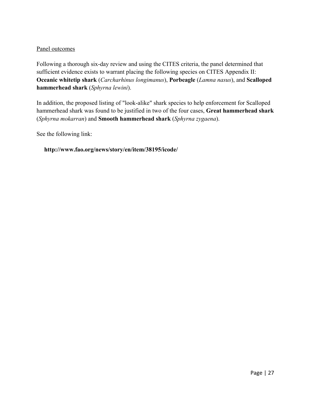### Panel outcomes

Following a thorough six-day review and using the CITES criteria, the panel determined that sufficient evidence exists to warrant placing the following species on CITES Appendix II: **Oceanic whitetip shark** (*Carcharhinus longimanus*), **Porbeagle** (*Lamna nasus*), and **Scalloped hammerhead shark** (*Sphyrna lewini*).

In addition, the proposed listing of "look-alike" shark species to help enforcement for Scalloped hammerhead shark was found to be justified in two of the four cases, **Great hammerhead shark** (*Sphyrna mokarran*) and **Smooth hammerhead shark** (*Sphyrna zygaena*).

See the following link:

#### **http://www.fao.org/news/story/en/item/38195/icode/**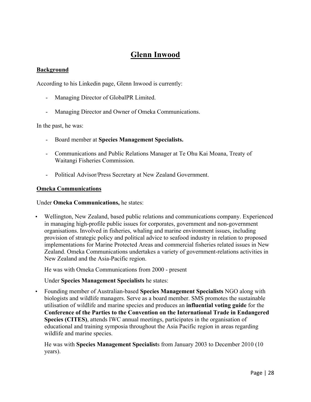# **Glenn Inwood**

#### **Background**

According to his Linkedin page, Glenn Inwood is currently:

- Managing Director of GlobalPR Limited.
- Managing Director and Owner of Omeka Communications.

In the past, he was:

- Board member at **Species Management Specialists.**
- Communications and Public Relations Manager at Te Ohu Kai Moana, Treaty of Waitangi Fisheries Commission.
- Political Advisor/Press Secretary at New Zealand Government.

#### **Omeka Communications**

Under **Omeka Communications,** he states:

• Wellington, New Zealand, based public relations and communications company. Experienced in managing high-profile public issues for corporates, government and non-government organisations. Involved in fisheries, whaling and marine environment issues, including provision of strategic policy and political advice to seafood industry in relation to proposed implementations for Marine Protected Areas and commercial fisheries related issues in New Zealand. Omeka Communications undertakes a variety of government-relations activities in New Zealand and the Asia-Pacific region.

He was with Omeka Communications from 2000 - present

Under **Species Management Specialists** he states:

• Founding member of Australian-based **Species Management Specialists** NGO along with biologists and wildlife managers. Serve as a board member. SMS promotes the sustainable utilisation of wildlife and marine species and produces an **influential voting guide** for the **Conference of the Parties to the Convention on the International Trade in Endangered Species (CITES)**, attends IWC annual meetings, participates in the organisation of educational and training symposia throughout the Asia Pacific region in areas regarding wildlife and marine species.

He was with **Species Management Specialist**s from January 2003 to December 2010 (10 years).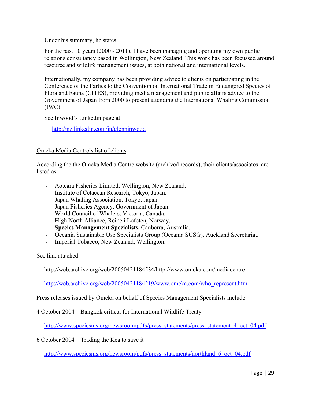Under his summary, he states:

For the past 10 years (2000 - 2011), I have been managing and operating my own public relations consultancy based in Wellington, New Zealand. This work has been focussed around resource and wildlife management issues, at both national and international levels.

Internationally, my company has been providing advice to clients on participating in the Conference of the Parties to the Convention on International Trade in Endangered Species of Flora and Fauna (CITES), providing media management and public affairs advice to the Government of Japan from 2000 to present attending the International Whaling Commission (IWC).

See Inwood's Linkedin page at:

http://nz.linkedin.com/in/glenninwood

#### Omeka Media Centre's list of clients

According the the Omeka Media Centre website (archived records), their clients/associates are listed as:

- Aoteara Fisheries Limited, Wellington, New Zealand.
- Institute of Cetacean Research, Tokyo, Japan.
- Japan Whaling Association, Tokyo, Japan.
- Japan Fisheries Agency, Government of Japan.
- World Council of Whalers, Victoria, Canada.
- High North Alliance, Reine i Lofoten, Norway.
- **Species Management Specialists,** Canberra, Australia.
- Oceania Sustainable Use Specialists Group (Oceania SUSG), Auckland Secretariat.
- Imperial Tobacco, New Zealand, Wellington.

See link attached:

http://web.archive.org/web/20050421184534/http://www.omeka.com/mediacentre

http://web.archive.org/web/20050421184219/www.omeka.com/who\_represent.htm

Press releases issued by Omeka on behalf of Species Management Specialists include:

4 October 2004 – Bangkok critical for International Wildlife Treaty

http://www.speciesms.org/newsroom/pdfs/press\_statements/press\_statement\_4\_oct\_04.pdf

6 October 2004 – Trading the Kea to save it

http://www.speciesms.org/newsroom/pdfs/press\_statements/northland\_6\_oct\_04.pdf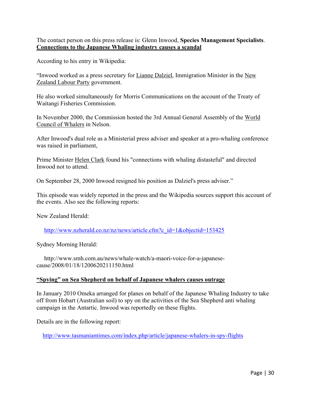The contact person on this press release is: Glenn Inwood, **Species Management Specialists**. **Connections to the Japanese Whaling industry causes a scandal**

According to his entry in Wikipedia:

"Inwood worked as a press secretary for Lianne Dalziel, Immigration Minister in the New Zealand Labour Party government.

He also worked simultaneously for Morris Communications on the account of the Treaty of Waitangi Fisheries Commission.

In November 2000, the Commission hosted the 3rd Annual General Assembly of the World Council of Whalers in Nelson.

After Inwood's dual role as a Ministerial press adviser and speaker at a pro-whaling conference was raised in parliament,

Prime Minister Helen Clark found his "connections with whaling distasteful" and directed Inwood not to attend.

On September 28, 2000 Inwood resigned his position as Dalziel's press adviser."

This episode was widely reported in the press and the Wikipedia sources support this account of the events. Also see the following reports:

New Zealand Herald:

http://www.nzherald.co.nz/nz/news/article.cfm?c\_id=1&objectid=153425

Sydney Morning Herald:

 http://www.smh.com.au/news/whale-watch/a-maori-voice-for-a-japanesecause/2008/01/18/1200620211150.html

#### **"Spying" on Sea Shepherd on behalf of Japanese whalers causes outrage**

In January 2010 Omeka arranged for planes on behalf of the Japanese Whaling Industry to take off from Hobart (Australian soil) to spy on the activities of the Sea Shepherd anti whaling campaign in the Antartic. Inwood was reportedly on these flights.

Details are in the following report:

http://www.tasmaniantimes.com/index.php/article/japanese-whalers-in-spy-flights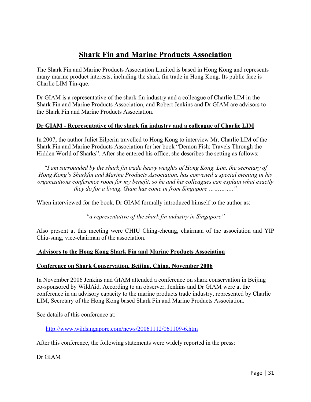# **Shark Fin and Marine Products Association**

The Shark Fin and Marine Products Association Limited is based in Hong Kong and represents many marine product interests, including the shark fin trade in Hong Kong. Its public face is Charlie LIM Tin-que.

Dr GIAM is a representative of the shark fin industry and a colleague of Charlie LIM in the Shark Fin and Marine Products Association, and Robert Jenkins and Dr GIAM are advisors to the Shark Fin and Marine Products Association.

# **Dr GIAM - Representative of the shark fin industry and a colleague of Charlie LIM**

In 2007, the author Juliet Eilperin travelled to Hong Kong to interview Mr. Charlie LIM of the Shark Fin and Marine Products Association for her book "Demon Fish: Travels Through the Hidden World of Sharks". After she entered his office, she describes the setting as follows:

*"I am surrounded by the shark fin trade heavy weights of Hong Kong. Lim, the secretary of Hong Kong's Sharkfin and Marine Products Association, has convened a special meeting in his organizations conference room for my benefit, so he and his colleagues can explain what exactly they do for a living. Giam has come in from Singapore ………….."*

When interviewed for the book, Dr GIAM formally introduced himself to the author as:

*"a representative of the shark fin industry in Singapore"*

Also present at this meeting were CHIU Ching-cheung, chairman of the association and YIP Chiu-sung, vice-chairman of the association.

### **Advisors to the Hong Kong Shark Fin and Marine Products Association**

### **Conference on Shark Conservation, Beijing, China. November 2006**

In November 2006 Jenkins and GIAM attended a conference on shark conservation in Beijing co-sponsored by WildAid. According to an observer, Jenkins and Dr GIAM were at the conference in an advisory capacity to the marine products trade industry, represented by Charlie LIM, Secretary of the Hong Kong based Shark Fin and Marine Products Association.

See details of this conference at:

http://www.wildsingapore.com/news/20061112/061109-6.htm

After this conference, the following statements were widely reported in the press:

Dr GIAM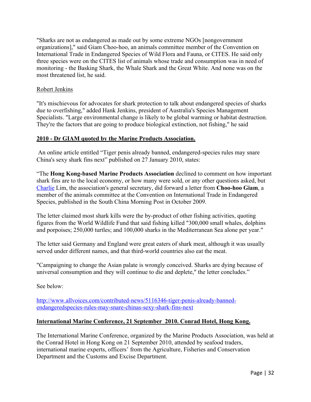"Sharks are not as endangered as made out by some extreme NGOs [nongovernment organizations]," said Giam Choo-hoo, an animals committee member of the Convention on International Trade in Endangered Species of Wild Flora and Fauna, or CITES. He said only three species were on the CITES list of animals whose trade and consumption was in need of monitoring - the Basking Shark, the Whale Shark and the Great White. And none was on the most threatened list, he said.

#### Robert Jenkins

"It's mischievous for advocates for shark protection to talk about endangered species of sharks due to overfishing," added Hank Jenkins, president of Australia's Species Management Specialists. "Large environmental change is likely to be global warming or habitat destruction. They're the factors that are going to produce biological extinction, not fishing," he said

#### **2010 - Dr GIAM quoted by the Marine Products Association.**

 An online article entitled "Tiger penis already banned, endangered-species rules may snare China's sexy shark fins next" published on 27 January 2010, states:

"The **Hong Kong-based Marine Products Association** declined to comment on how important shark fins are to the local economy, or how many were sold, or any other questions asked, but Charlie Lim, the association's general secretary, did forward a letter from **Choo-hoo Giam**, a member of the animals committee at the Convention on International Trade in Endangered Species, published in the South China Morning Post in October 2009.

The letter claimed most shark kills were the by-product of other fishing activities, quoting figures from the World Wildlife Fund that said fishing killed "300,000 small whales, dolphins and porpoises; 250,000 turtles; and 100,000 sharks in the Mediterranean Sea alone per year."

The letter said Germany and England were great eaters of shark meat, although it was usually served under different names, and that third-world countries also eat the meat.

"Campaigning to change the Asian palate is wrongly conceived. Sharks are dying because of universal consumption and they will continue to die and deplete," the letter concludes."

See below:

http://www.allvoices.com/contributed-news/5116346-tiger-penis-already-bannedendangeredspecies-rules-may-snare-chinas-sexy-shark-fins-next

#### **International Marine Conference, 21 September 2010. Conrad Hotel, Hong Kong.**

The International Marine Conference, organized by the Marine Products Association, was held at the Conrad Hotel in Hong Kong on 21 September 2010, attended by seafood traders, international marine experts, officers' from the Agriculture, Fisheries and Conservation Department and the Customs and Excise Department.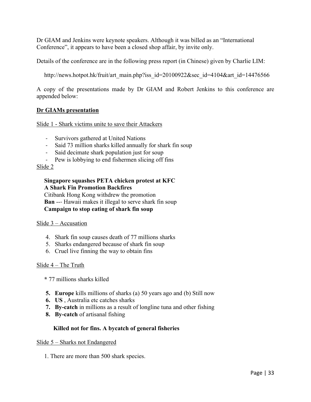Dr GIAM and Jenkins were keynote speakers. Although it was billed as an "International Conference", it appears to have been a closed shop affair, by invite only.

Details of the conference are in the following press report (in Chinese) given by Charlie LIM:

http://news.hotpot.hk/fruit/art\_main.php?iss\_id=20100922&sec\_id=4104&art\_id=14476566

A copy of the presentations made by Dr GIAM and Robert Jenkins to this conference are appended below:

#### **Dr GIAMs presentation**

Slide 1 - Shark victims unite to save their Attackers

- Survivors gathered at United Nations
- 1 Said 73 million sharks killed annually for shark fin soup
- 1 Said decimate shark population just for soup
- Pew is lobbying to end fishermen slicing off fins

#### Slide 2

#### **Singapore squashes PETA chicken protest at KFC A Shark Fin Promotion Backfires**

 Citibank Hong Kong withdrew the promotion **Ban** --- Hawaii makes it illegal to serve shark fin soup  **Campaign to stop eating of shark fin soup**

#### Slide 3 – Accusation

- 4. Shark fin soup causes death of 77 millions sharks
- 5. Sharks endangered because of shark fin soup
- 6. Cruel live finning the way to obtain fins

#### Slide 4 – The Truth

 **\*** 77 millions sharks killed

- **5. Europe** kills millions of sharks (a) 50 years ago and (b) Still now
- **6. US** , Australia etc catches sharks
- **7. By-catch** in millions as a result of longline tuna and other fishing
- **8. By-catch** of artisanal fishing

#### **Killed not for fins. A bycatch of general fisheries**

Slide 5 – Sharks not Endangered

1. There are more than 500 shark species.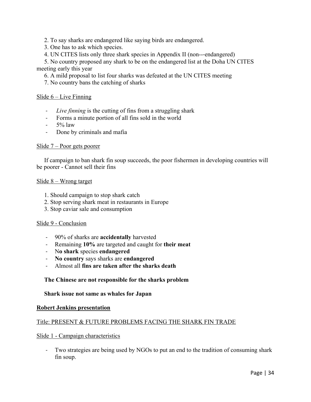2. To say sharks are endangered like saying birds are endangered.

3. One has to ask which species.

4. UN CITES lists only three shark species in Appendix II (non---endangered)

 5. No country proposed any shark to be on the endangered list at the Doha UN CITES meeting early this year

6. A mild proposal to list four sharks was defeated at the UN CITES meeting

7. No country bans the catching of sharks

#### Slide 6 – Live Finning

- 1 *Live finning* is the cutting of fins from a struggling shark
- 1 Forms a minute portion of all fins sold in the world
- $-5\%$  law
- Done by criminals and mafia

#### Slide 7 – Poor gets poorer

 If campaign to ban shark fin soup succeeds, the poor fishermen in developing countries will be poorer - Cannot sell their fins

#### Slide 8 – Wrong target

- 1. Should campaign to stop shark catch
- 2. Stop serving shark meat in restaurants in Europe
- 3. Stop caviar sale and consumption

#### Slide 9 - Conclusion

- 1 90% of sharks are **accidentally** harvested
- 1 Remaining **10%** are targeted and caught for **their meat**
- 1 N**o shark** species **endangered**
- 1 **No country** says sharks are **endangered**
- 1 Almost all **fins are taken after the sharks death**

#### **The Chinese are not responsible for the sharks problem**

 **Shark issue not same as whales for Japan**

#### **Robert Jenkins presentation**

#### Title: PRESENT & FUTURE PROBLEMS FACING THE SHARK FIN TRADE

#### Slide 1 - Campaign characteristics

1 Two strategies are being used by NGOs to put an end to the tradition of consuming shark fin soup.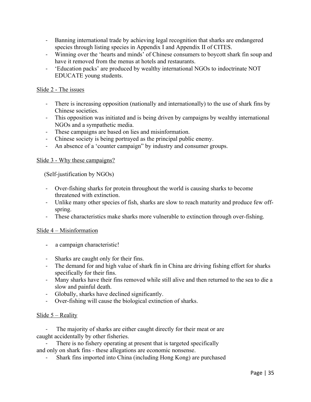- 1 Banning international trade by achieving legal recognition that sharks are endangered species through listing species in Appendix I and Appendix II of CITES.
- 1 Winning over the 'hearts and minds' of Chinese consumers to boycott shark fin soup and have it removed from the menus at hotels and restaurants.
- 1 'Education packs' are produced by wealthy international NGOs to indoctrinate NOT EDUCATE young students.

#### Slide 2 - The issues

- 1 There is increasing opposition (nationally and internationally) to the use of shark fins by Chinese societies.
- 1 This opposition was initiated and is being driven by campaigns by wealthy international NGOs and a sympathetic media.
- 1 These campaigns are based on lies and misinformation.
- 1 Chinese society is being portrayed as the principal public enemy.
- An absence of a 'counter campaign' by industry and consumer groups.

#### Slide 3 - Why these campaigns?

(Self-justification by NGOs)

- 1 Over-fishing sharks for protein throughout the world is causing sharks to become threatened with extinction.
- 1 Unlike many other species of fish, sharks are slow to reach maturity and produce few offspring.
- These characteristics make sharks more vulnerable to extinction through over-fishing.

#### Slide 4 – Misinformation

- a campaign characteristic!
- 1 Sharks are caught only for their fins.
- The demand for and high value of shark fin in China are driving fishing effort for sharks specifically for their fins.
- 1 Many sharks have their fins removed while still alive and then returned to the sea to die a slow and painful death.
- 1 Globally, sharks have declined significantly.
- 1 Over-fishing will cause the biological extinction of sharks.

#### Slide  $5 -$  Reality

The majority of sharks are either caught directly for their meat or are caught accidentally by other fisheries.

There is no fishery operating at present that is targeted specifically and only on shark fins - these allegations are economic nonsense.

1 Shark fins imported into China (including Hong Kong) are purchased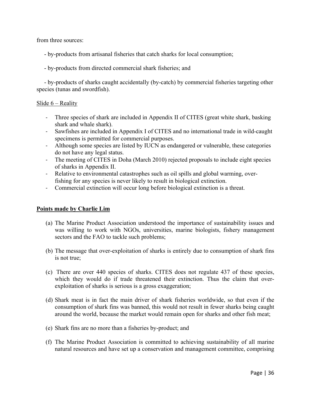from three sources:

- by-products from artisanal fisheries that catch sharks for local consumption;
- by-products from directed commercial shark fisheries; and

 - by-products of sharks caught accidentally (by-catch) by commercial fisheries targeting other species (tunas and swordfish).

#### Slide  $6$  – Reality

- 1 Three species of shark are included in Appendix II of CITES (great white shark, basking shark and whale shark).
- 1 Sawfishes are included in Appendix I of CITES and no international trade in wild-caught specimens is permitted for commercial purposes.
- Although some species are listed by IUCN as endangered or vulnerable, these categories do not have any legal status.
- The meeting of CITES in Doha (March 2010) rejected proposals to include eight species of sharks in Appendix II.
- 1 Relative to environmental catastrophes such as oil spills and global warming, overfishing for any species is never likely to result in biological extinction.
- 1 Commercial extinction will occur long before biological extinction is a threat.

#### **Points made by Charlie Lim**

- (a) The Marine Product Association understood the importance of sustainability issues and was willing to work with NGOs, universities, marine biologists, fishery management sectors and the FAO to tackle such problems;
- (b) The message that over-exploitation of sharks is entirely due to consumption of shark fins is not true;
- (c) There are over 440 species of sharks. CITES does not regulate 437 of these species, which they would do if trade threatened their extinction. Thus the claim that overexploitation of sharks is serious is a gross exaggeration;
- (d) Shark meat is in fact the main driver of shark fisheries worldwide, so that even if the consumption of shark fins was banned, this would not result in fewer sharks being caught around the world, because the market would remain open for sharks and other fish meat;
- (e) Shark fins are no more than a fisheries by-product; and
- (f) The Marine Product Association is committed to achieving sustainability of all marine natural resources and have set up a conservation and management committee, comprising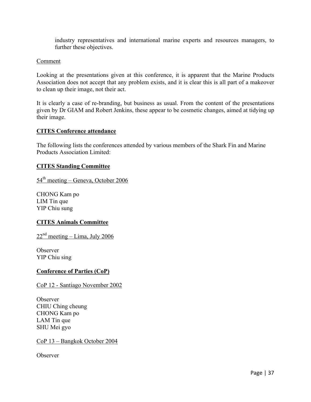industry representatives and international marine experts and resources managers, to further these objectives.

#### Comment

Looking at the presentations given at this conference, it is apparent that the Marine Products Association does not accept that any problem exists, and it is clear this is all part of a makeover to clean up their image, not their act.

It is clearly a case of re-branding, but business as usual. From the content of the presentations given by Dr GIAM and Robert Jenkins, these appear to be cosmetic changes, aimed at tidying up their image.

#### **CITES Conference attendance**

The following lists the conferences attended by various members of the Shark Fin and Marine Products Association Limited:

#### **CITES Standing Committee**

 $54<sup>th</sup> meeting - Geneva, October 2006$ 

CHONG Kam po LIM Tin que YIP Chiu sung

### **CITES Animals Committee**

 $22<sup>nd</sup> meeting – Lima, July 2006$ 

**Observer** YIP Chiu sing

#### **Conference of Parties (CoP)**

CoP 12 - Santiago November 2002

Observer CHIU Ching cheung CHONG Kam po LAM Tin que SHU Mei gyo

CoP 13 – Bangkok October 2004

Observer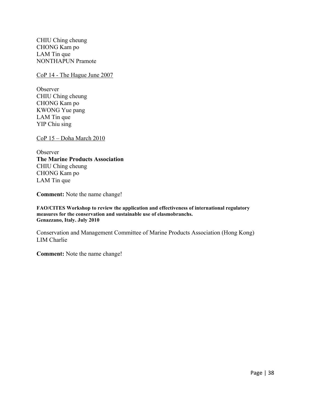CHIU Ching cheung CHONG Kam po LAM Tin que NONTHAPUN Pramote

CoP 14 - The Hague June 2007

**Observer** CHIU Ching cheung CHONG Kam po KWONG Yue pang LAM Tin que YIP Chiu sing

CoP 15 – Doha March 2010

**Observer The Marine Products Association** CHIU Ching cheung CHONG Kam po LAM Tin que

**Comment:** Note the name change!

**FAO/CITES Workshop to review the application and effectiveness of international regulatory measures for the conservation and sustainable use of elasmobranchs. Genazzano, Italy. July 2010**

Conservation and Management Committee of Marine Products Association (Hong Kong) LIM Charlie

**Comment:** Note the name change!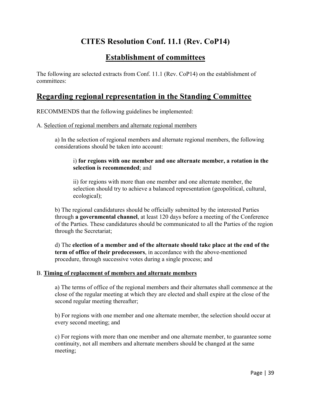# **CITES Resolution Conf. 11.1 (Rev. CoP14)**

# **Establishment of committees**

The following are selected extracts from Conf. 11.1 (Rev. CoP14) on the establishment of committees:

# **Regarding regional representation in the Standing Committee**

RECOMMENDS that the following guidelines be implemented:

#### A. Selection of regional members and alternate regional members

a) In the selection of regional members and alternate regional members, the following considerations should be taken into account:

#### i) **for regions with one member and one alternate member, a rotation in the selection is recommended**; and

ii) for regions with more than one member and one alternate member, the selection should try to achieve a balanced representation (geopolitical, cultural, ecological);

b) The regional candidatures should be officially submitted by the interested Parties through **a governmental channel**, at least 120 days before a meeting of the Conference of the Parties. These candidatures should be communicated to all the Parties of the region through the Secretariat;

d) The **election of a member and of the alternate should take place at the end of the term of office of their predecessors**, in accordance with the above-mentioned procedure, through successive votes during a single process; and

#### B. **Timing of replacement of members and alternate members**

a) The terms of office of the regional members and their alternates shall commence at the close of the regular meeting at which they are elected and shall expire at the close of the second regular meeting thereafter;

b) For regions with one member and one alternate member, the selection should occur at every second meeting; and

c) For regions with more than one member and one alternate member, to guarantee some continuity, not all members and alternate members should be changed at the same meeting;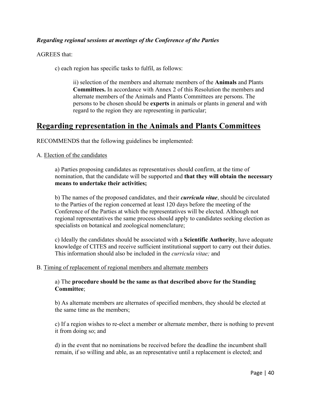## *Regarding regional sessions at meetings of the Conference of the Parties*

AGREES that:

c) each region has specific tasks to fulfil, as follows:

ii) selection of the members and alternate members of the **Animals** and Plants **Committees.** In accordance with Annex 2 of this Resolution the members and alternate members of the Animals and Plants Committees are persons. The persons to be chosen should be **experts** in animals or plants in general and with regard to the region they are representing in particular;

# **Regarding representation in the Animals and Plants Committees**

RECOMMENDS that the following guidelines be implemented:

#### A. Election of the candidates

a) Parties proposing candidates as representatives should confirm, at the time of nomination, that the candidate will be supported and **that they will obtain the necessary means to undertake their activities;**

b) The names of the proposed candidates, and their *curricula vitae*, should be circulated to the Parties of the region concerned at least 120 days before the meeting of the Conference of the Parties at which the representatives will be elected. Although not regional representatives the same process should apply to candidates seeking election as specialists on botanical and zoological nomenclature;

c) Ideally the candidates should be associated with a **Scientific Authority**, have adequate knowledge of CITES and receive sufficient institutional support to carry out their duties. This information should also be included in the *curricula vitae;* and

#### B. Timing of replacement of regional members and alternate members

### a) The **procedure should be the same as that described above for the Standing Committee**;

b) As alternate members are alternates of specified members, they should be elected at the same time as the members;

c) If a region wishes to re-elect a member or alternate member, there is nothing to prevent it from doing so; and

d) in the event that no nominations be received before the deadline the incumbent shall remain, if so willing and able, as an representative until a replacement is elected; and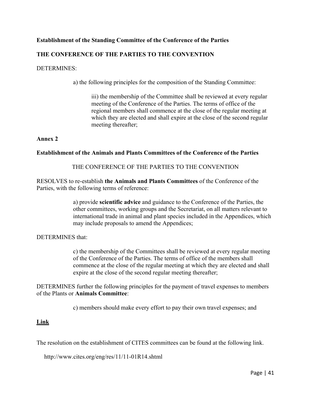### **Establishment of the Standing Committee of the Conference of the Parties**

## **THE CONFERENCE OF THE PARTIES TO THE CONVENTION**

#### DETERMINES:

a) the following principles for the composition of the Standing Committee:

iii) the membership of the Committee shall be reviewed at every regular meeting of the Conference of the Parties. The terms of office of the regional members shall commence at the close of the regular meeting at which they are elected and shall expire at the close of the second regular meeting thereafter;

#### **Annex 2**

#### **Establishment of the Animals and Plants Committees of the Conference of the Parties**

#### THE CONFERENCE OF THE PARTIES TO THE CONVENTION

RESOLVES to re-establish **the Animals and Plants Committees** of the Conference of the Parties, with the following terms of reference:

> a) provide **scientific advice** and guidance to the Conference of the Parties, the other committees, working groups and the Secretariat, on all matters relevant to international trade in animal and plant species included in the Appendices, which may include proposals to amend the Appendices;

#### DETERMINES that:

c) the membership of the Committees shall be reviewed at every regular meeting of the Conference of the Parties. The terms of office of the members shall commence at the close of the regular meeting at which they are elected and shall expire at the close of the second regular meeting thereafter;

DETERMINES further the following principles for the payment of travel expenses to members of the Plants or **Animals Committee**:

c) members should make every effort to pay their own travel expenses; and

#### **Link**

The resolution on the establishment of CITES committees can be found at the following link.

http://www.cites.org/eng/res/11/11-01R14.shtml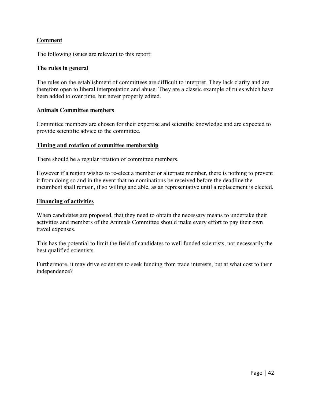### **Comment**

The following issues are relevant to this report:

#### **The rules in general**

The rules on the establishment of committees are difficult to interpret. They lack clarity and are therefore open to liberal interpretation and abuse. They are a classic example of rules which have been added to over time, but never properly edited.

#### **Animals Committee members**

Committee members are chosen for their expertise and scientific knowledge and are expected to provide scientific advice to the committee.

#### **Timing and rotation of committee membership**

There should be a regular rotation of committee members.

However if a region wishes to re-elect a member or alternate member, there is nothing to prevent it from doing so and in the event that no nominations be received before the deadline the incumbent shall remain, if so willing and able, as an representative until a replacement is elected.

#### **Financing of activities**

When candidates are proposed, that they need to obtain the necessary means to undertake their activities and members of the Animals Committee should make every effort to pay their own travel expenses.

This has the potential to limit the field of candidates to well funded scientists, not necessarily the best qualified scientists.

Furthermore, it may drive scientists to seek funding from trade interests, but at what cost to their independence?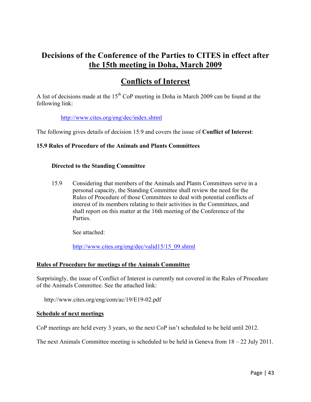# **Decisions of the Conference of the Parties to CITES in effect after the 15th meeting in Doha, March 2009**

# **Conflicts of Interest**

A list of decisions made at the  $15<sup>th</sup>$  CoP meeting in Doha in March 2009 can be found at the following link:

http://www.cites.org/eng/dec/index.shtml

The following gives details of decision 15.9 and covers the issue of **Conflict of Interest**:

#### **15.9 Rules of Procedure of the Animals and Plants Committees**

#### **Directed to the Standing Committee**

15.9 Considering that members of the Animals and Plants Committees serve in a personal capacity, the Standing Committee shall review the need for the Rules of Procedure of those Committees to deal with potential conflicts of interest of its members relating to their activities in the Committees, and shall report on this matter at the 16th meeting of the Conference of the Parties.

See attached:

http://www.cites.org/eng/dec/valid15/15\_09.shtml

#### **Rules of Procedure for meetings of the Animals Committee**

Surprisingly, the issue of Conflict of Interest is currently not covered in the Rules of Procedure of the Animals Committee. See the attached link:

http://www.cites.org/eng/com/ac/19/E19-02.pdf

#### **Schedule of next meetings**

CoP meetings are held every 3 years, so the next CoP isn't scheduled to be held until 2012.

The next Animals Committee meeting is scheduled to be held in Geneva from 18 – 22 July 2011.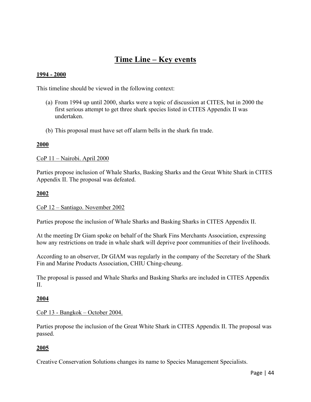# **Time Line – Key events**

#### **1994 - 2000**

This timeline should be viewed in the following context:

- (a) From 1994 up until 2000, sharks were a topic of discussion at CITES, but in 2000 the first serious attempt to get three shark species listed in CITES Appendix II was undertaken.
- (b) This proposal must have set off alarm bells in the shark fin trade.

#### **2000**

CoP 11 – Nairobi. April 2000

Parties propose inclusion of Whale Sharks, Basking Sharks and the Great White Shark in CITES Appendix II. The proposal was defeated.

#### **2002**

#### CoP 12 – Santiago. November 2002

Parties propose the inclusion of Whale Sharks and Basking Sharks in CITES Appendix II.

At the meeting Dr Giam spoke on behalf of the Shark Fins Merchants Association, expressing how any restrictions on trade in whale shark will deprive poor communities of their livelihoods.

According to an observer, Dr GIAM was regularly in the company of the Secretary of the Shark Fin and Marine Products Association, CHIU Ching-cheung.

The proposal is passed and Whale Sharks and Basking Sharks are included in CITES Appendix II.

#### **2004**

#### CoP 13 - Bangkok – October 2004.

Parties propose the inclusion of the Great White Shark in CITES Appendix II. The proposal was passed.

#### **2005**

Creative Conservation Solutions changes its name to Species Management Specialists.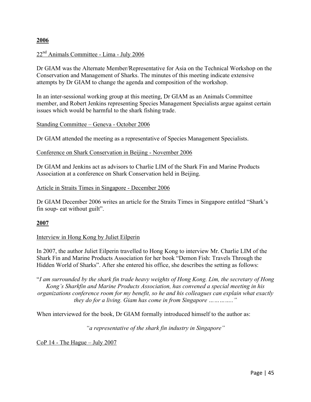#### **2006**

### 22nd Animals Committee - Lima - July 2006

Dr GIAM was the Alternate Member/Representative for Asia on the Technical Workshop on the Conservation and Management of Sharks. The minutes of this meeting indicate extensive attempts by Dr GIAM to change the agenda and composition of the workshop.

In an inter-sessional working group at this meeting, Dr GIAM as an Animals Committee member, and Robert Jenkins representing Species Management Specialists argue against certain issues which would be harmful to the shark fishing trade.

#### Standing Committee – Geneva - October 2006

Dr GIAM attended the meeting as a representative of Species Management Specialists.

#### Conference on Shark Conservation in Beijing - November 2006

Dr GIAM and Jenkins act as advisors to Charlie LIM of the Shark Fin and Marine Products Association at a conference on Shark Conservation held in Beijing.

#### Article in Straits Times in Singapore - December 2006

Dr GIAM December 2006 writes an article for the Straits Times in Singapore entitled "Shark's fin soup- eat without guilt".

#### **2007**

#### Interview in Hong Kong by Juliet Eilperin

In 2007, the author Juliet Eilperin travelled to Hong Kong to interview Mr. Charlie LIM of the Shark Fin and Marine Products Association for her book "Demon Fish: Travels Through the Hidden World of Sharks". After she entered his office, she describes the setting as follows:

"*I am surrounded by the shark fin trade heavy weights of Hong Kong. Lim, the secretary of Hong Kong's Sharkfin and Marine Products Association, has convened a special meeting in his organizations conference room for my benefit, so he and his colleagues can explain what exactly they do for a living. Giam has come in from Singapore ………….."*

When interviewed for the book, Dr GIAM formally introduced himself to the author as:

*"a representative of the shark fin industry in Singapore"*

CoP 14 - The Hague – July 2007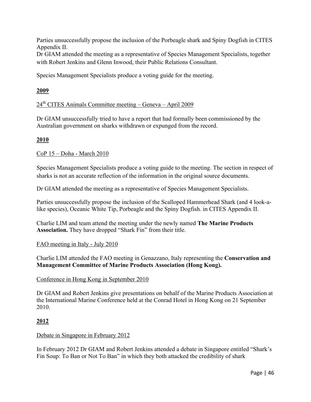Parties unsuccessfully propose the inclusion of the Porbeagle shark and Spiny Dogfish in CITES Appendix II.

Dr GIAM attended the meeting as a representative of Species Management Specialists, together with Robert Jenkins and Glenn Inwood, their Public Relations Consultant.

Species Management Specialists produce a voting guide for the meeting.

# **2009**

# $24<sup>th</sup>$  CITES Animals Committee meeting – Geneva – April 2009

Dr GIAM unsuccessfully tried to have a report that had formally been commissioned by the Australian government on sharks withdrawn or expunged from the record.

# **2010**

### CoP 15 – Doha - March 2010

Species Management Specialists produce a voting guide to the meeting. The section in respect of sharks is not an accurate reflection of the information in the original source documents.

Dr GIAM attended the meeting as a representative of Species Management Specialists.

Parties unsuccessfully propose the inclusion of the Scalloped Hammerhead Shark (and 4 look-alike species), Oceanic White Tip, Porbeagle and the Spiny Dogfish. in CITES Appendix II.

Charlie LIM and team attend the meeting under the newly named **The Marine Products Association.** They have dropped "Shark Fin" from their title.

### FAO meeting in Italy - July 2010

Charlie LIM attended the FAO meeting in Genazzano, Italy representing the **Conservation and Management Committee of Marine Products Association (Hong Kong).**

### Conference in Hong Kong in September 2010

Dr GIAM and Robert Jenkins give presentations on behalf of the Marine Products Association at the International Marine Conference held at the Conrad Hotel in Hong Kong on 21 September 2010.

### **2012**

### Debate in Singapore in February 2012

In February 2012 Dr GIAM and Robert Jenkins attended a debate in Singapore entitled "Shark's Fin Soup: To Ban or Not To Ban" in which they both attacked the credibility of shark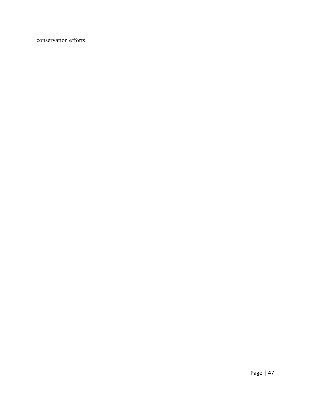conservation efforts.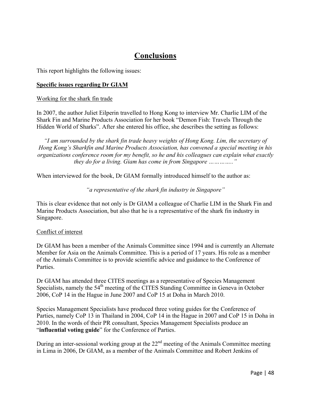# **Conclusions**

This report highlights the following issues:

#### **Specific issues regarding Dr GIAM**

#### Working for the shark fin trade

In 2007, the author Juliet Eilperin travelled to Hong Kong to interview Mr. Charlie LIM of the Shark Fin and Marine Products Association for her book "Demon Fish: Travels Through the Hidden World of Sharks". After she entered his office, she describes the setting as follows:

*"I am surrounded by the shark fin trade heavy weights of Hong Kong. Lim, the secretary of Hong Kong's Sharkfin and Marine Products Association, has convened a special meeting in his organizations conference room for my benefit, so he and his colleagues can explain what exactly they do for a living. Giam has come in from Singapore ………….."*

When interviewed for the book, Dr GIAM formally introduced himself to the author as:

*"a representative of the shark fin industry in Singapore"*

This is clear evidence that not only is Dr GIAM a colleague of Charlie LIM in the Shark Fin and Marine Products Association, but also that he is a representative of the shark fin industry in Singapore.

#### Conflict of interest

Dr GIAM has been a member of the Animals Committee since 1994 and is currently an Alternate Member for Asia on the Animals Committee. This is a period of 17 years. His role as a member of the Animals Committee is to provide scientific advice and guidance to the Conference of **Parties** 

Dr GIAM has attended three CITES meetings as a representative of Species Management Specialists, namely the 54<sup>th</sup> meeting of the CITES Standing Committee in Geneva in October 2006, CoP 14 in the Hague in June 2007 and CoP 15 at Doha in March 2010.

Species Management Specialists have produced three voting guides for the Conference of Parties, namely CoP 13 in Thailand in 2004, CoP 14 in the Hague in 2007 and CoP 15 in Doha in 2010. In the words of their PR consultant, Species Management Specialists produce an "**influential voting guide**" for the Conference of Parties.

During an inter-sessional working group at the  $22<sup>nd</sup>$  meeting of the Animals Committee meeting in Lima in 2006, Dr GIAM, as a member of the Animals Committee and Robert Jenkins of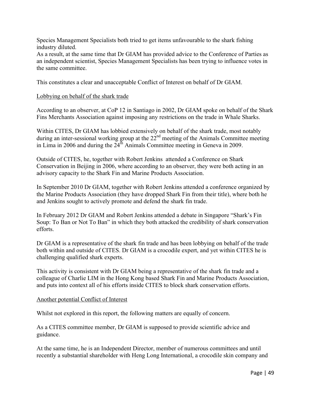Species Management Specialists both tried to get items unfavourable to the shark fishing industry diluted.

As a result, at the same time that Dr GIAM has provided advice to the Conference of Parties as an independent scientist, Species Management Specialists has been trying to influence votes in the same committee.

This constitutes a clear and unacceptable Conflict of Interest on behalf of Dr GIAM.

#### Lobbying on behalf of the shark trade

According to an observer, at CoP 12 in Santiago in 2002, Dr GIAM spoke on behalf of the Shark Fins Merchants Association against imposing any restrictions on the trade in Whale Sharks.

Within CITES, Dr GIAM has lobbied extensively on behalf of the shark trade, most notably during an inter-sessional working group at the  $22<sup>nd</sup>$  meeting of the Animals Committee meeting in Lima in 2006 and during the  $24<sup>th</sup>$  Animals Committee meeting in Geneva in 2009.

Outside of CITES, he, together with Robert Jenkins attended a Conference on Shark Conservation in Beijing in 2006, where according to an observer, they were both acting in an advisory capacity to the Shark Fin and Marine Products Association.

In September 2010 Dr GIAM, together with Robert Jenkins attended a conference organized by the Marine Products Association (they have dropped Shark Fin from their title), where both he and Jenkins sought to actively promote and defend the shark fin trade.

In February 2012 Dr GIAM and Robert Jenkins attended a debate in Singapore "Shark's Fin Soup: To Ban or Not To Ban" in which they both attacked the credibility of shark conservation efforts.

Dr GIAM is a representative of the shark fin trade and has been lobbying on behalf of the trade both within and outside of CITES. Dr GIAM is a crocodile expert, and yet within CITES he is challenging qualified shark experts.

This activity is consistent with Dr GIAM being a representative of the shark fin trade and a colleague of Charlie LIM in the Hong Kong based Shark Fin and Marine Products Association, and puts into context all of his efforts inside CITES to block shark conservation efforts.

#### Another potential Conflict of Interest

Whilst not explored in this report, the following matters are equally of concern.

As a CITES committee member, Dr GIAM is supposed to provide scientific advice and guidance.

At the same time, he is an Independent Director, member of numerous committees and until recently a substantial shareholder with Heng Long International, a crocodile skin company and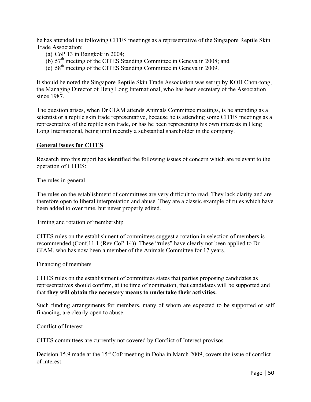he has attended the following CITES meetings as a representative of the Singapore Reptile Skin Trade Association:

- (a) CoP 13 in Bangkok in 2004;
- (b) 57<sup>th</sup> meeting of the CITES Standing Committee in Geneva in 2008; and
- $(c)$  58<sup>th</sup> meeting of the CITES Standing Committee in Geneva in 2009.

It should be noted the Singapore Reptile Skin Trade Association was set up by KOH Chon-tong, the Managing Director of Heng Long International, who has been secretary of the Association since 1987.

The question arises, when Dr GIAM attends Animals Committee meetings, is he attending as a scientist or a reptile skin trade representative, because he is attending some CITES meetings as a representative of the reptile skin trade, or has he been representing his own interests in Heng Long International, being until recently a substantial shareholder in the company.

#### **General issues for CITES**

Research into this report has identified the following issues of concern which are relevant to the operation of CITES:

#### The rules in general

The rules on the establishment of committees are very difficult to read. They lack clarity and are therefore open to liberal interpretation and abuse. They are a classic example of rules which have been added to over time, but never properly edited.

#### Timing and rotation of membership

CITES rules on the establishment of committees suggest a rotation in selection of members is recommended (Conf.11.1 (Rev.CoP 14)). These "rules" have clearly not been applied to Dr GIAM, who has now been a member of the Animals Committee for 17 years.

#### Financing of members

CITES rules on the establishment of committees states that parties proposing candidates as representatives should confirm, at the time of nomination, that candidates will be supported and that **they will obtain the necessary means to undertake their activities.**

Such funding arrangements for members, many of whom are expected to be supported or self financing, are clearly open to abuse.

#### Conflict of Interest

CITES committees are currently not covered by Conflict of Interest provisos.

Decision 15.9 made at the  $15<sup>th</sup>$  CoP meeting in Doha in March 2009, covers the issue of conflict of interest: